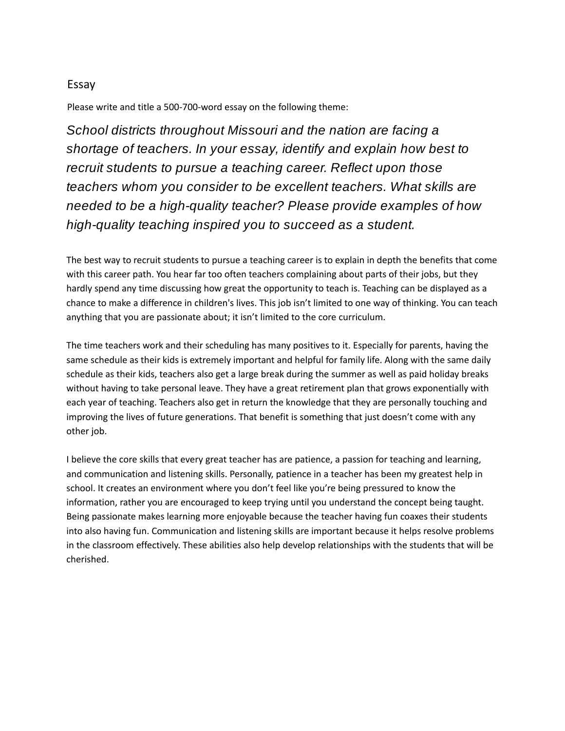## Essay

Please write and title a 500-700-word essay on the following theme:

*School districts throughout Missouri and the nation are facing a shortage of teachers. In your essay, identify and explain how best to recruit students to pursue a teaching career. Reflect upon those teachers whom you consider to be excellent teachers. What skills are needed to be a high-quality teacher? Please provide examples of how high-quality teaching inspired you to succeed as a student.*

The best way to recruit students to pursue a teaching career is to explain in depth the benefits that come with this career path. You hear far too often teachers complaining about parts of their jobs, but they hardly spend any time discussing how great the opportunity to teach is. Teaching can be displayed as a chance to make a difference in children's lives. This job isn't limited to one way of thinking. You can teach anything that you are passionate about; it isn't limited to the core curriculum.

The time teachers work and their scheduling has many positives to it. Especially for parents, having the same schedule as their kids is extremely important and helpful for family life. Along with the same daily schedule as their kids, teachers also get a large break during the summer as well as paid holiday breaks without having to take personal leave. They have a great retirement plan that grows exponentially with each year of teaching. Teachers also get in return the knowledge that they are personally touching and improving the lives of future generations. That benefit is something that just doesn't come with any other job.

I believe the core skills that every great teacher has are patience, a passion for teaching and learning, and communication and listening skills. Personally, patience in a teacher has been my greatest help in school. It creates an environment where you don't feel like you're being pressured to know the information, rather you are encouraged to keep trying until you understand the concept being taught. Being passionate makes learning more enjoyable because the teacher having fun coaxes their students into also having fun. Communication and listening skills are important because it helps resolve problems in the classroom effectively. These abilities also help develop relationships with the students that will be cherished.